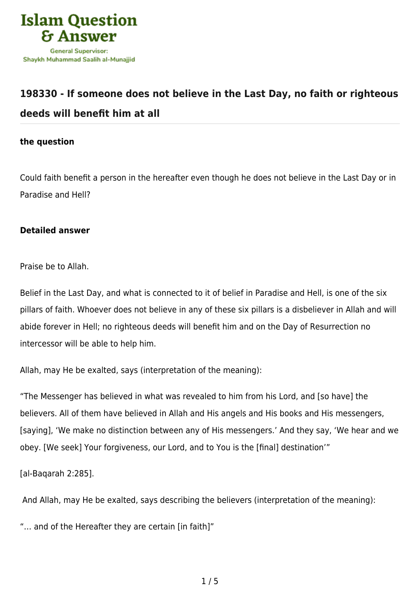

## **[198330 - If someone does not believe in the Last Day, no faith or righteous](https://islamqa.com/en/answers/198330/if-someone-does-not-believe-in-the-last-day-no-faith-or-righteous-deeds-will-benefit-him-at-all) [deeds will benefit him at all](https://islamqa.com/en/answers/198330/if-someone-does-not-believe-in-the-last-day-no-faith-or-righteous-deeds-will-benefit-him-at-all)**

## **the question**

Could faith benefit a person in the hereafter even though he does not believe in the Last Day or in Paradise and Hell?

## **Detailed answer**

Praise be to Allah.

Belief in the Last Day, and what is connected to it of belief in Paradise and Hell, is one of the six pillars of faith. Whoever does not believe in any of these six pillars is a disbeliever in Allah and will abide forever in Hell; no righteous deeds will benefit him and on the Day of Resurrection no intercessor will be able to help him.

Allah, may He be exalted, says (interpretation of the meaning):

"The Messenger has believed in what was revealed to him from his Lord, and [so have] the believers. All of them have believed in Allah and His angels and His books and His messengers, [saying], 'We make no distinction between any of His messengers.' And they say, 'We hear and we obey. [We seek] Your forgiveness, our Lord, and to You is the [final] destination'"

[al-Baqarah 2:285].

And Allah, may He be exalted, says describing the believers (interpretation of the meaning):

"… and of the Hereafter they are certain [in faith]"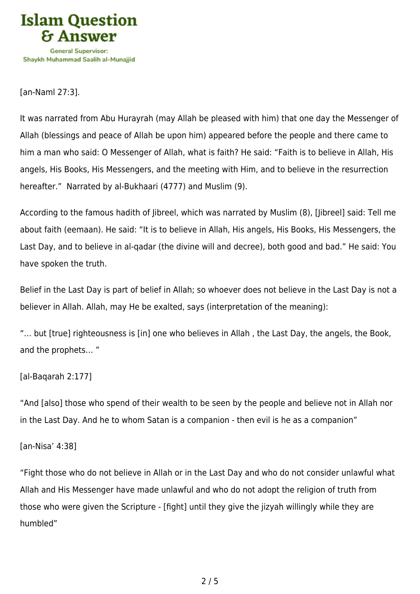

[an-Naml 27:3].

It was narrated from Abu Hurayrah (may Allah be pleased with him) that one day the Messenger of Allah (blessings and peace of Allah be upon him) appeared before the people and there came to him a man who said: O Messenger of Allah, what is faith? He said: "Faith is to believe in Allah, His angels, His Books, His Messengers, and the meeting with Him, and to believe in the resurrection hereafter." Narrated by al-Bukhaari (4777) and Muslim (9).

According to the famous hadith of Jibreel, which was narrated by Muslim (8), [Jibreel] said: Tell me about faith (eemaan). He said: "It is to believe in Allah, His angels, His Books, His Messengers, the Last Day, and to believe in al-qadar (the divine will and decree), both good and bad." He said: You have spoken the truth.

Belief in the Last Day is part of belief in Allah; so whoever does not believe in the Last Day is not a believer in Allah. Allah, may He be exalted, says (interpretation of the meaning):

"… but [true] righteousness is [in] one who believes in Allah , the Last Day, the angels, the Book, and the prophets… "

[al-Baqarah 2:177]

"And [also] those who spend of their wealth to be seen by the people and believe not in Allah nor in the Last Day. And he to whom Satan is a companion - then evil is he as a companion"

[an-Nisa' 4:38]

"Fight those who do not believe in Allah or in the Last Day and who do not consider unlawful what Allah and His Messenger have made unlawful and who do not adopt the religion of truth from those who were given the Scripture - [fight] until they give the jizyah willingly while they are humbled"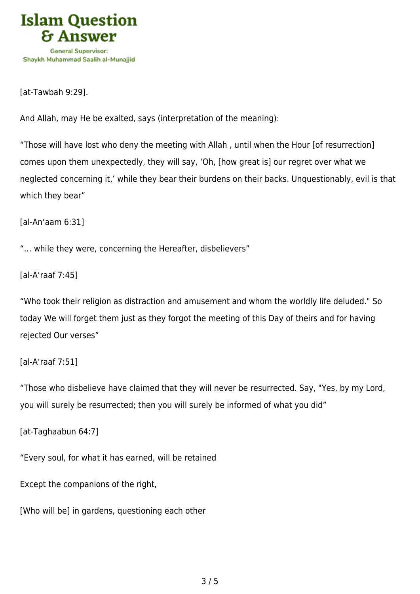

[at-Tawbah 9:29].

And Allah, may He be exalted, says (interpretation of the meaning):

"Those will have lost who deny the meeting with Allah , until when the Hour [of resurrection] comes upon them unexpectedly, they will say, 'Oh, [how great is] our regret over what we neglected concerning it,' while they bear their burdens on their backs. Unquestionably, evil is that which they bear"

[al-An'aam 6:31]

"… while they were, concerning the Hereafter, disbelievers"

[al-A'raaf 7:45]

"Who took their religion as distraction and amusement and whom the worldly life deluded." So today We will forget them just as they forgot the meeting of this Day of theirs and for having rejected Our verses"

[al-A'raaf 7:51]

"Those who disbelieve have claimed that they will never be resurrected. Say, "Yes, by my Lord, you will surely be resurrected; then you will surely be informed of what you did"

[at-Taghaabun 64:7]

"Every soul, for what it has earned, will be retained

Except the companions of the right,

[Who will be] in gardens, questioning each other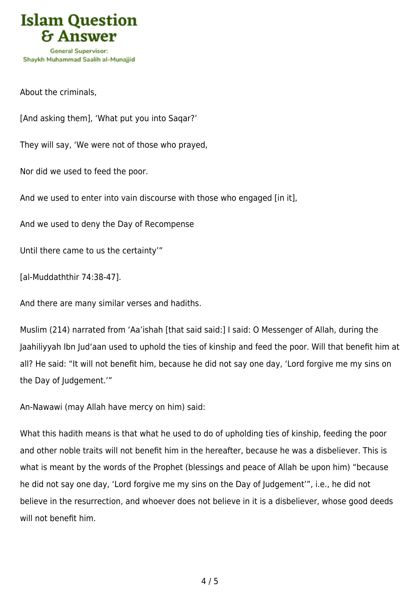

About the criminals,

[And asking them], 'What put you into Saqar?'

They will say, 'We were not of those who prayed,

Nor did we used to feed the poor.

And we used to enter into vain discourse with those who engaged [in it],

And we used to deny the Day of Recompense

Until there came to us the certainty'"

[al-Muddaththir 74:38-47].

And there are many similar verses and hadiths.

Muslim (214) narrated from 'Aa'ishah [that said said:] I said: O Messenger of Allah, during the Jaahiliyyah Ibn Jud'aan used to uphold the ties of kinship and feed the poor. Will that benefit him at all? He said: "It will not benefit him, because he did not say one day, 'Lord forgive me my sins on the Day of Judgement.'"

An-Nawawi (may Allah have mercy on him) said:

What this hadith means is that what he used to do of upholding ties of kinship, feeding the poor and other noble traits will not benefit him in the hereafter, because he was a disbeliever. This is what is meant by the words of the Prophet (blessings and peace of Allah be upon him) "because he did not say one day, 'Lord forgive me my sins on the Day of Judgement'", i.e., he did not believe in the resurrection, and whoever does not believe in it is a disbeliever, whose good deeds will not benefit him.